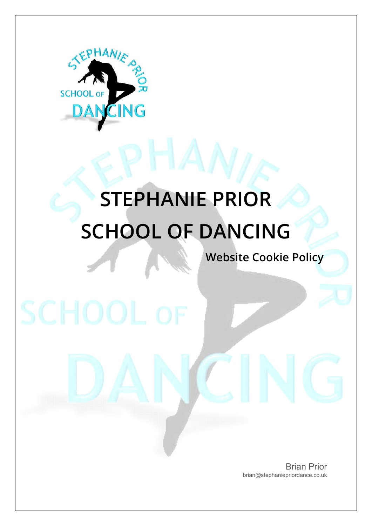

**SCHOOL OF** 

# **STEPHANIE PRIOR SCHOOL OF DANCING**

**Website Cookie Policy**

Brian Prior brian@stephaniepriordance.co.uk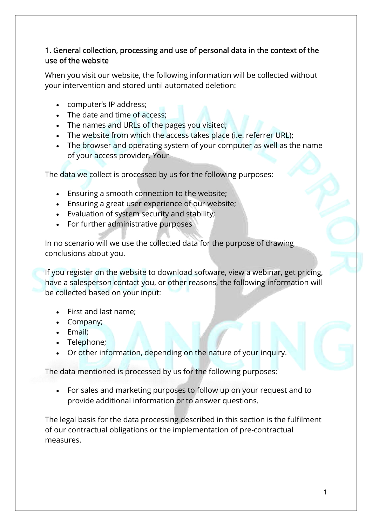### 1. General collection, processing and use of personal data in the context of the use of the website

When you visit our website, the following information will be collected without your intervention and stored until automated deletion:

- computer's IP address;
- The date and time of access:
- The names and URLs of the pages you visited;
- The website from which the access takes place (i.e. referrer URL):
- The browser and operating system of your computer as well as the name of your access provider. Your

The data we collect is processed by us for the following purposes:

- Ensuring a smooth connection to the website;
- Ensuring a great user experience of our website;
- Evaluation of system security and stability;
- For further administrative purposes

In no scenario will we use the collected data for the purpose of drawing conclusions about you.

If you register on the website to download software, view a webinar, get pricing, have a salesperson contact you, or other reasons, the following information will be collected based on your input:

- First and last name;
- Company;
- Email:
- Telephone;
- Or other information, depending on the nature of your inquiry.

The data mentioned is processed by us for the following purposes:

 For sales and marketing purposes to follow up on your request and to provide additional information or to answer questions.

The legal basis for the data processing described in this section is the fulfilment of our contractual obligations or the implementation of pre-contractual measures.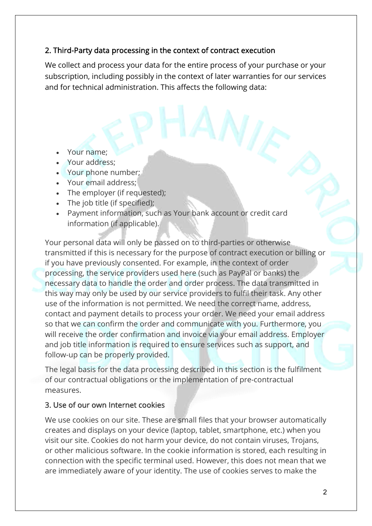### 2. Third-Party data processing in the context of contract execution

We collect and process your data for the entire process of your purchase or your subscription, including possibly in the context of later warranties for our services and for technical administration. This affects the following data:

- Your name;
- Your address:
- Your phone number;
- Your email address;
- The employer (if requested);
- The job title (if specified);
- Payment information, such as Your bank account or credit card information (if applicable).

Your personal data will only be passed on to third-parties or otherwise transmitted if this is necessary for the purpose of contract execution or billing or if you have previously consented. For example, in the context of order processing, the service providers used here (such as PayPal or banks) the necessary data to handle the order and order process. The data transmitted in this way may only be used by our service providers to fulfil their task. Any other use of the information is not permitted. We need the correct name, address, contact and payment details to process your order. We need your email address so that we can confirm the order and communicate with you. Furthermore, you will receive the order confirmation and invoice via your email address. Employer and job title information is required to ensure services such as support, and follow-up can be properly provided.

The legal basis for the data processing described in this section is the fulfilment of our contractual obligations or the implementation of pre-contractual measures.

#### 3. Use of our own Internet cookies

We use cookies on our site. These are small files that your browser automatically creates and displays on your device (laptop, tablet, smartphone, etc.) when you visit our site. Cookies do not harm your device, do not contain viruses, Trojans, or other malicious software. In the cookie information is stored, each resulting in connection with the specific terminal used. However, this does not mean that we are immediately aware of your identity. The use of cookies serves to make the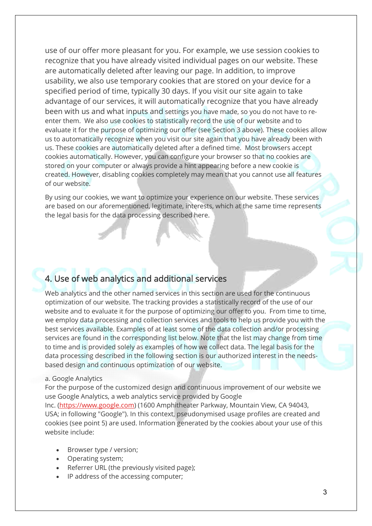use of our offer more pleasant for you. For example, we use session cookies to recognize that you have already visited individual pages on our website. These are automatically deleted after leaving our page. In addition, to improve usability, we also use temporary cookies that are stored on your device for a specified period of time, typically 30 days. If you visit our site again to take advantage of our services, it will automatically recognize that you have already been with us and what inputs and settings you have made, so you do not have to reenter them. We also use cookies to statistically record the use of our website and to evaluate it for the purpose of optimizing our offer (see Section 3 above). These cookies allow us to automatically recognize when you visit our site again that you have already been with us. These cookies are automatically deleted after a defined time. Most browsers accept cookies automatically. However, you can configure your browser so that no cookies are stored on your computer or always provide a hint appearing before a new cookie is created. However, disabling cookies completely may mean that you cannot use all features of our website.

By using our cookies, we want to optimize your experience on our website. These services are based on our aforementioned, legitimate, interests, which at the same time represents the legal basis for the data processing described here.

## 4. Use of web analytics and additional services

Web analytics and the other named services in this section are used for the continuous optimization of our website. The tracking provides a statistically record of the use of our website and to evaluate it for the purpose of optimizing our offer to you. From time to time, we employ data processing and collection services and tools to help us provide you with the best services available. Examples of at least some of the data collection and/or processing services are found in the corresponding list below. Note that the list may change from time to time and is provided solely as examples of how we collect data. The legal basis for the data processing described in the following section is our authorized interest in the needsbased design and continuous optimization of our website.

#### a. Google Analytics

For the purpose of the customized design and continuous improvement of our website we use Google Analytics, a web analytics service provided by Google

Inc. (https://www.google.com) (1600 Amphitheater Parkway, Mountain View, CA 94043, USA; in following "Google"). In this context, pseudonymised usage profiles are created and cookies (see point 5) are used. Information generated by the cookies about your use of this website include:

- Browser type / version;
- Operating system;
- Referrer URL (the previously visited page);
- IP address of the accessing computer;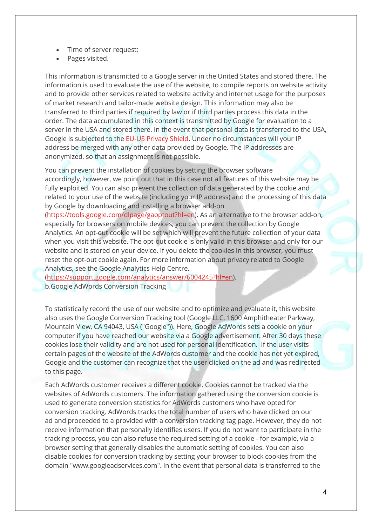- Time of server request;
- Pages visited.

This information is transmitted to a Google server in the United States and stored there. The information is used to evaluate the use of the website, to compile reports on website activity and to provide other services related to website activity and internet usage for the purposes of market research and tailor-made website design. This information may also be transferred to third parties if required by law or if third parties process this data in the order. The data accumulated in this context is transmitted by Google for evaluation to a server in the USA and stored there. In the event that personal data is transferred to the USA, Google is subjected to the EU-US Privacy Shield. Under no circumstances will your IP address be merged with any other data provided by Google. The IP addresses are anonymized, so that an assignment is not possible.

You can prevent the installation of cookies by setting the browser software accordingly, however, we point out that in this case not all features of this website may be fully exploited. You can also prevent the collection of data generated by the cookie and related to your use of the website (including your IP address) and the processing of this data by Google by downloading and installing a browser add-on

(https://tools.google.com/dlpage/gaoptout?hl=en). As an alternative to the browser add-on, especially for browsers on mobile devices, you can prevent the collection by Google Analytics. An opt-out cookie will be set which will prevent the future collection of your data when you visit this website. The opt-out cookie is only valid in this browser and only for our website and is stored on your device. If you delete the cookies in this browser, you must reset the opt-out cookie again. For more information about privacy related to Google Analytics, see the Google Analytics Help Centre.

(https://support.google.com/analytics/answer/6004245?hl=en). b.Google AdWords Conversion Tracking

To statistically record the use of our website and to optimize and evaluate it, this website also uses the Google Conversion Tracking tool (Google LLC, 1600 Amphitheater Parkway, Mountain View, CA 94043, USA ("Google")). Here, Google AdWords sets a cookie on your computer if you have reached our website via a Google advertisement. After 30 days these cookies lose their validity and are not used for personal identification. If the user visits certain pages of the website of the AdWords customer and the cookie has not yet expired, Google and the customer can recognize that the user clicked on the ad and was redirected to this page.

Each AdWords customer receives a different cookie. Cookies cannot be tracked via the websites of AdWords customers. The information gathered using the conversion cookie is used to generate conversion statistics for AdWords customers who have opted for conversion tracking. AdWords tracks the total number of users who have clicked on our ad and proceeded to a provided with a conversion tracking tag page. However, they do not receive information that personally identifies users. If you do not want to participate in the tracking process, you can also refuse the required setting of a cookie - for example, via a browser setting that generally disables the automatic setting of cookies. You can also disable cookies for conversion tracking by setting your browser to block cookies from the domain "www.googleadservices.com". In the event that personal data is transferred to the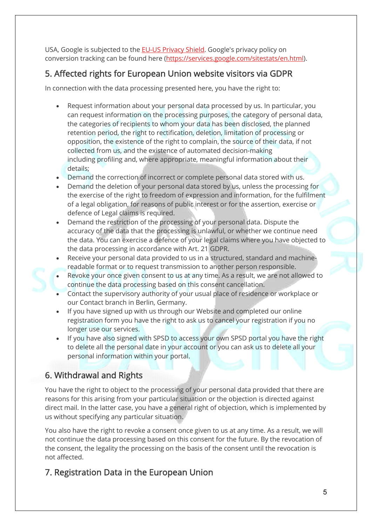USA, Google is subjected to the **EU-US Privacy Shield**. Google's privacy policy on conversion tracking can be found here (https://services.google.com/sitestats/en.html).

# 5. Affected rights for European Union website visitors via GDPR

In connection with the data processing presented here, you have the right to:

- Request information about your personal data processed by us. In particular, you can request information on the processing purposes, the category of personal data, the categories of recipients to whom your data has been disclosed, the planned retention period, the right to rectification, deletion, limitation of processing or opposition, the existence of the right to complain, the source of their data, if not collected from us, and the existence of automated decision-making including profiling and, where appropriate, meaningful information about their details;
- Demand the correction of incorrect or complete personal data stored with us.
- Demand the deletion of your personal data stored by us, unless the processing for the exercise of the right to freedom of expression and information, for the fulfilment of a legal obligation, for reasons of public interest or for the assertion, exercise or defence of Legal claims is required.
- Demand the restriction of the processing of your personal data. Dispute the accuracy of the data that the processing is unlawful, or whether we continue need the data. You can exercise a defence of your legal claims where you have objected to the data processing in accordance with Art. 21 GDPR.
- Receive your personal data provided to us in a structured, standard and machinereadable format or to request transmission to another person responsible.
- Revoke your once given consent to us at any time. As a result, we are not allowed to continue the data processing based on this consent cancellation.
- Contact the supervisory authority of your usual place of residence or workplace or our Contact branch in Berlin, Germany.
- If you have signed up with us through our Website and completed our online registration form you have the right to ask us to cancel your registration if you no longer use our services.
- If you have also signed with SPSD to access your own SPSD portal you have the right to delete all the personal date in your account or you can ask us to delete all your personal information within your portal.

# 6. Withdrawal and Rights

You have the right to object to the processing of your personal data provided that there are reasons for this arising from your particular situation or the objection is directed against direct mail. In the latter case, you have a general right of objection, which is implemented by us without specifying any particular situation.

You also have the right to revoke a consent once given to us at any time. As a result, we will not continue the data processing based on this consent for the future. By the revocation of the consent, the legality the processing on the basis of the consent until the revocation is not affected.

# 7. Registration Data in the European Union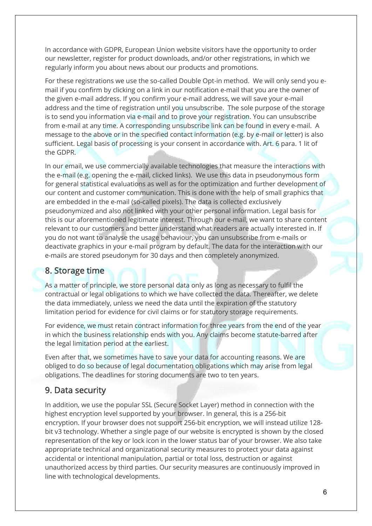In accordance with GDPR, European Union website visitors have the opportunity to order our newsletter, register for product downloads, and/or other registrations, in which we regularly inform you about news about our products and promotions.

For these registrations we use the so-called Double Opt-in method. We will only send you email if you confirm by clicking on a link in our notification e-mail that you are the owner of the given e-mail address. If you confirm your e-mail address, we will save your e-mail address and the time of registration until you unsubscribe. The sole purpose of the storage is to send you information via e-mail and to prove your registration. You can unsubscribe from e-mail at any time. A corresponding unsubscribe link can be found in every e-mail. A message to the above or in the specified contact information (e.g. by e-mail or letter) is also sufficient. Legal basis of processing is your consent in accordance with. Art. 6 para. 1 lit of the GDPR.

In our email, we use commercially available technologies that measure the interactions with the e-mail (e.g. opening the e-mail, clicked links). We use this data in pseudonymous form for general statistical evaluations as well as for the optimization and further development of our content and customer communication. This is done with the help of small graphics that are embedded in the e-mail (so-called pixels). The data is collected exclusively pseudonymized and also not linked with your other personal information. Legal basis for this is our aforementioned legitimate interest. Through our e-mail, we want to share content relevant to our customers and better understand what readers are actually interested in. If you do not want to analyse the usage behaviour, you can unsubscribe from e-mails or deactivate graphics in your e-mail program by default. The data for the interaction with our e-mails are stored pseudonym for 30 days and then completely anonymized.

#### 8. Storage time

As a matter of principle, we store personal data only as long as necessary to fulfil the contractual or legal obligations to which we have collected the data. Thereafter, we delete the data immediately, unless we need the data until the expiration of the statutory limitation period for evidence for civil claims or for statutory storage requirements.

For evidence, we must retain contract information for three years from the end of the year in which the business relationship ends with you. Any claims become statute-barred after the legal limitation period at the earliest.

Even after that, we sometimes have to save your data for accounting reasons. We are obliged to do so because of legal documentation obligations which may arise from legal obligations. The deadlines for storing documents are two to ten years.

#### 9. Data security

In addition, we use the popular SSL (Secure Socket Layer) method in connection with the highest encryption level supported by your browser. In general, this is a 256-bit encryption. If your browser does not support 256-bit encryption, we will instead utilize 128 bit v3 technology. Whether a single page of our website is encrypted is shown by the closed representation of the key or lock icon in the lower status bar of your browser. We also take appropriate technical and organizational security measures to protect your data against accidental or intentional manipulation, partial or total loss, destruction or against unauthorized access by third parties. Our security measures are continuously improved in line with technological developments.